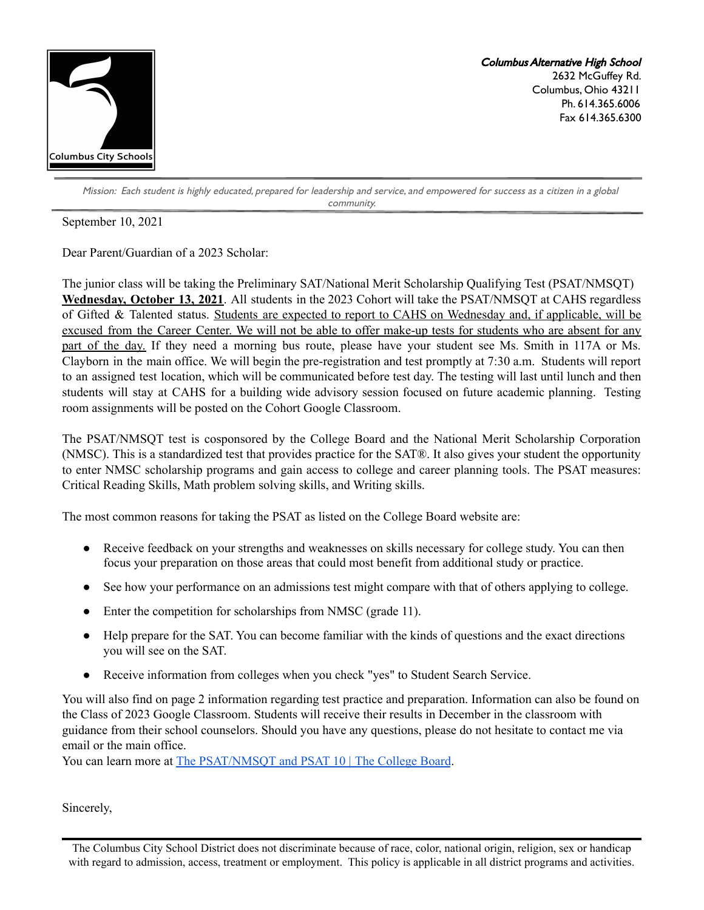

Columbus Alternative High School 2632 McGuffey Rd. Columbus, Ohio 43211 Ph. 614.365.6006 Fax 614.365.6300

Mission: Each student is highly educated, prepared for leadership and service, and empowered for success as a citizen in a global community.

September 10, 2021

Dear Parent/Guardian of a 2023 Scholar:

The junior class will be taking the Preliminary SAT/National Merit Scholarship Qualifying Test (PSAT/NMSQT) **Wednesday, October 13, 2021**. All students in the 2023 Cohort will take the PSAT/NMSQT at CAHS regardless of Gifted & Talented status. Students are expected to report to CAHS on Wednesday and, if applicable, will be excused from the Career Center. We will not be able to offer make-up tests for students who are absent for any part of the day. If they need a morning bus route, please have your student see Ms. Smith in 117A or Ms. Clayborn in the main office. We will begin the pre-registration and test promptly at 7:30 a.m. Students will report to an assigned test location, which will be communicated before test day. The testing will last until lunch and then students will stay at CAHS for a building wide advisory session focused on future academic planning. Testing room assignments will be posted on the Cohort Google Classroom.

The PSAT/NMSQT test is cosponsored by the College Board and the National Merit Scholarship Corporation (NMSC). This is a standardized test that provides practice for the SAT®. It also gives your student the opportunity to enter NMSC scholarship programs and gain access to college and career planning tools. The PSAT measures: Critical Reading Skills, Math problem solving skills, and Writing skills.

The most common reasons for taking the PSAT as listed on the College Board website are:

- Receive feedback on your strengths and weaknesses on skills necessary for college study. You can then focus your preparation on those areas that could most benefit from additional study or practice.
- See how your performance on an admissions test might compare with that of others applying to college.
- Enter the competition for scholarships from NMSC (grade 11).
- Help prepare for the SAT. You can become familiar with the kinds of questions and the exact directions you will see on the SAT.
- Receive information from colleges when you check "yes" to Student Search Service.

You will also find on page 2 information regarding test practice and preparation. Information can also be found on the Class of 2023 Google Classroom. Students will receive their results in December in the classroom with guidance from their school counselors. Should you have any questions, please do not hesitate to contact me via email or the main office.

You can learn more at The [PSAT/NMSQT](http://collegeboard.org/psat) and PSAT 10 | The College Board.

Sincerely,

The Columbus City School District does not discriminate because of race, color, national origin, religion, sex or handicap with regard to admission, access, treatment or employment. This policy is applicable in all district programs and activities.